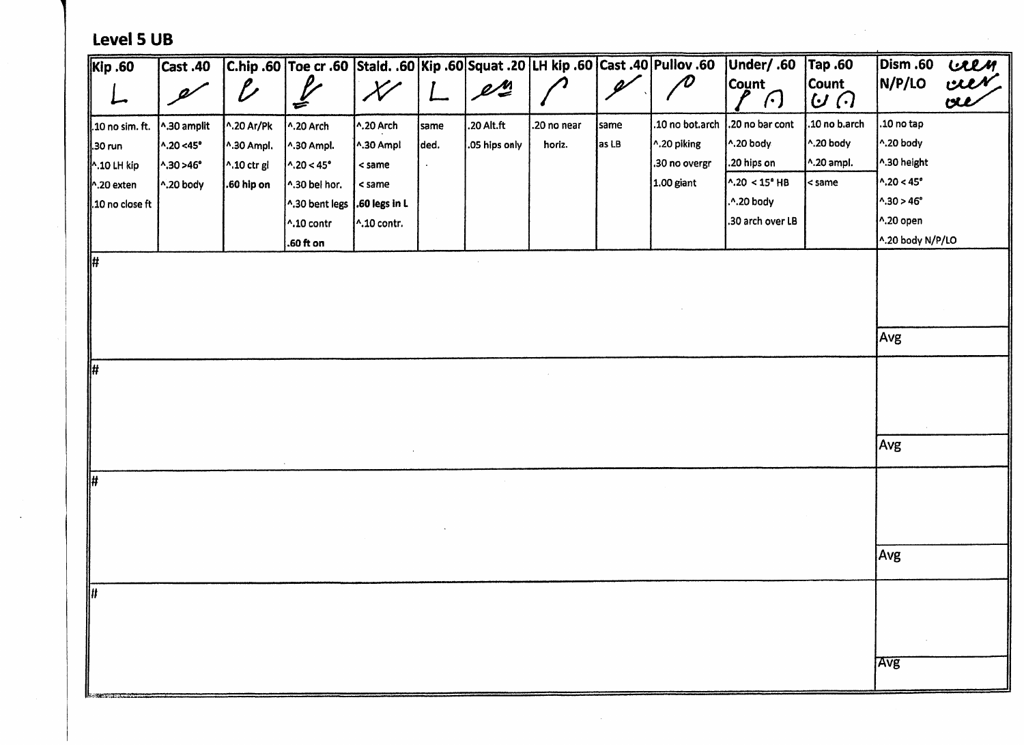## **Level 5 UB**

| $\overline{\text{Kip.60}}$ | $\overline{\text{Cast.40}}$ |                         | 00. C.hip .60 Toe cr .60 Stald. .60 Kip .60 Squat .20 LH kip .60 Cast .40 Pullov .60 |                        |      |                             |             |              |                 | Under/ .60                        | <b>Tap .60</b>            | Dism .60                       | uen       |
|----------------------------|-----------------------------|-------------------------|--------------------------------------------------------------------------------------|------------------------|------|-----------------------------|-------------|--------------|-----------------|-----------------------------------|---------------------------|--------------------------------|-----------|
|                            | $\boldsymbol{\mathscr{Q}}$  | $\mathcal{L}$           | $\frac{p}{2}$                                                                        | $\mathcal{X}^{\prime}$ |      | $\mathscr{L}^{\textit{in}}$ |             | $\mathscr Y$ | $\mathcal{D}$   | Count<br>$\left( \cdot \right)$   | <b>Count</b><br>$U\Omega$ | N/P/LO                         | ueN<br>ou |
| 1.10 no sim. ft.           | ^.30 amplit                 | ^.20 Ar/Pk              | ^.20 Arch                                                                            | ^.20 Arch              | same | .20 Alt.ft                  | .20 no near | same         | .10 no bot.arch | .20 no bar cont                   | .10 no b.arch             | $.10$ no tap                   |           |
| .30 run                    | <sup>1</sup> .20 <45°       | ^.30 Ampl.              | <b>^.30 Ampl.</b>                                                                    | ^.30 Ampl              | ded. | .05 hips only               | horiz.      | as LB        | ^.20 piking     | ^.20 body                         | $^{\wedge}$ .20 body      | ^.20 body                      |           |
| <sup>1</sup> .10 LH kip    | <sup>1</sup> .30 >46°       | <sup>1</sup> .10 ctr gl | $^{\circ}$ .20 < 45°                                                                 | $<$ same               |      |                             |             |              | .30 no overgr   | .20 hips on                       | ^.20 ampl.                | ^.30 height                    |           |
| <sup>1</sup> .20 exten     | $\wedge$ .20 body           | .60 hip on              | ^.30 bel hor.                                                                        | $<$ same               |      |                             |             |              | 1.00 giant      | $^{\circ}$ .20 < 15 $^{\circ}$ HB | $\leq$ same               | $^{\circ}$ .20 < 45 $^{\circ}$ |           |
| 10 no close ft             |                             |                         | ^.30 bent legs                                                                       | $.60$ legs in L        |      |                             |             |              |                 | .^.20 body                        |                           | $\cdot$ .30 > 46 $^{\circ}$    |           |
|                            |                             |                         | $^{\circ}$ .10 contr                                                                 | ^.10 contr.            |      |                             |             |              |                 | .30 arch over LB                  |                           | ^.20 open                      |           |
|                            |                             |                         | .60 ft on                                                                            |                        |      |                             |             |              |                 |                                   |                           | ^.20 body N/P/LO               |           |
| #                          |                             |                         |                                                                                      |                        |      |                             |             |              |                 |                                   |                           |                                |           |
|                            |                             |                         |                                                                                      |                        |      |                             |             |              |                 |                                   |                           |                                |           |
|                            |                             |                         |                                                                                      |                        |      |                             |             |              |                 |                                   |                           |                                |           |
|                            |                             |                         |                                                                                      |                        |      |                             |             |              |                 |                                   |                           |                                |           |
|                            |                             |                         |                                                                                      |                        |      |                             |             |              |                 |                                   |                           | Avg                            |           |
| #                          |                             |                         |                                                                                      |                        |      |                             |             |              |                 |                                   |                           |                                |           |
|                            |                             |                         |                                                                                      |                        |      |                             |             |              |                 |                                   |                           |                                |           |
|                            |                             |                         |                                                                                      |                        |      |                             |             |              |                 |                                   |                           |                                |           |
|                            |                             |                         |                                                                                      |                        |      |                             |             |              |                 |                                   |                           |                                |           |
|                            |                             |                         |                                                                                      |                        |      |                             |             |              |                 |                                   |                           | Avg                            |           |
|                            |                             |                         |                                                                                      |                        |      |                             |             |              |                 |                                   |                           |                                |           |
| #                          |                             |                         |                                                                                      |                        |      |                             |             |              |                 |                                   |                           |                                |           |
|                            |                             |                         |                                                                                      |                        |      |                             |             |              |                 |                                   |                           |                                |           |
|                            |                             |                         |                                                                                      |                        |      |                             |             |              |                 |                                   |                           |                                |           |
|                            |                             |                         |                                                                                      |                        |      |                             |             |              |                 |                                   |                           |                                |           |
|                            |                             |                         |                                                                                      |                        |      |                             |             |              |                 |                                   |                           | Avg                            |           |
| $\parallel$ #              |                             |                         |                                                                                      |                        |      |                             |             |              |                 |                                   |                           |                                |           |
|                            |                             |                         |                                                                                      |                        |      |                             |             |              |                 |                                   |                           |                                |           |
|                            |                             |                         |                                                                                      |                        |      |                             |             |              |                 |                                   |                           |                                |           |
|                            |                             |                         |                                                                                      |                        |      |                             |             |              |                 |                                   |                           |                                |           |
|                            |                             |                         |                                                                                      |                        |      |                             |             |              |                 |                                   |                           | Avg                            |           |
|                            |                             |                         |                                                                                      |                        |      |                             |             |              |                 |                                   |                           |                                |           |

 $\chi \sim 2$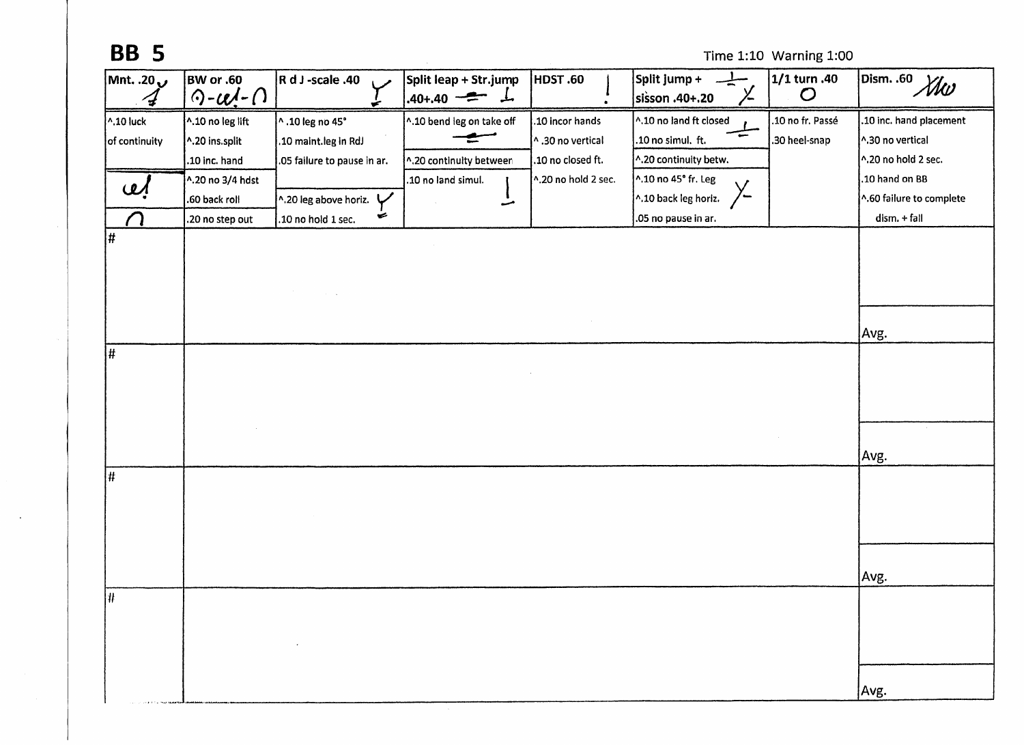$\sim$ 

**BB 5** Time 1:10 Warning 1:00

| س Mnt. .20<br>$\mathcal{I}$   | BW or .60<br>$0 - u(-1)$ | $ R d$ J -scale .40<br>┵    | Split leap + Str.jump<br>$.40+.40$ - $\rightarrow$ $\rightarrow$ | <b>HDST .60</b>     | Split jump +<br>⊁<br>sisson .40+.20 | 1/1 turn .40<br>$\circ$ | Dism. .60                |
|-------------------------------|--------------------------|-----------------------------|------------------------------------------------------------------|---------------------|-------------------------------------|-------------------------|--------------------------|
| $^{\wedge}$ .10 luck          | ^.10 no leg lift         | ^ .10 leg no 45°            | ^.10 bend leg on take off                                        | .10 incor hands     | ^.10 no land ft closed              | .10 no fr. Passé        | .10 inc. hand placement  |
| of continuity                 | ^.20 ins.split           | .10 maint.leg in RdJ        | $-$                                                              | 30 no vertical      | .10 no simul. ft.                   | .30 heel-snap           | ^.30 no vertical         |
|                               | .10 inc. hand            | .05 failure to pause in ar. | ^.20 continuity between                                          | .10 no closed ft.   | ^.20 continuity betw.               |                         | ^.20 no hold 2 sec.      |
| $\boldsymbol{\omega}$         | ^.20 no 3/4 hdst         |                             | .10 no land simul.                                               | ^.20 no hold 2 sec. | ^.10 no 45° fr. Leg                 |                         | .10 hand on BB           |
|                               | .60 back roll            | ^.20 leg above horiz.<br>レ  | مب                                                               |                     | ^.10 back leg horiz.                |                         | ^.60 failure to complete |
|                               | .20 no step out          | .10 no hold 1 sec.          |                                                                  |                     | .05 no pause in ar.                 |                         | dism. + fall             |
| #                             |                          |                             |                                                                  |                     |                                     |                         |                          |
|                               |                          |                             |                                                                  |                     |                                     |                         |                          |
|                               |                          |                             |                                                                  |                     |                                     |                         |                          |
|                               |                          |                             |                                                                  |                     |                                     |                         |                          |
|                               |                          |                             |                                                                  |                     |                                     |                         | Avg.                     |
| $\vert \sharp$                |                          |                             |                                                                  |                     |                                     |                         |                          |
|                               |                          |                             |                                                                  |                     |                                     |                         |                          |
|                               |                          |                             |                                                                  |                     |                                     |                         |                          |
|                               |                          |                             |                                                                  |                     |                                     |                         |                          |
|                               |                          |                             |                                                                  |                     |                                     |                         |                          |
|                               |                          |                             |                                                                  |                     |                                     |                         | Avg.                     |
| #                             |                          |                             |                                                                  |                     |                                     |                         |                          |
|                               |                          |                             |                                                                  |                     |                                     |                         |                          |
|                               |                          |                             |                                                                  |                     |                                     |                         |                          |
|                               |                          |                             |                                                                  |                     |                                     |                         |                          |
|                               |                          |                             |                                                                  |                     |                                     |                         |                          |
|                               |                          |                             |                                                                  |                     |                                     |                         | Avg.                     |
| #                             |                          |                             |                                                                  |                     |                                     |                         |                          |
|                               |                          |                             |                                                                  |                     |                                     |                         |                          |
|                               |                          |                             |                                                                  |                     |                                     |                         |                          |
|                               |                          |                             |                                                                  |                     |                                     |                         |                          |
|                               |                          |                             |                                                                  |                     |                                     |                         |                          |
| <b>Car Fillis Pour Hamble</b> |                          |                             |                                                                  |                     |                                     |                         | Avg.                     |